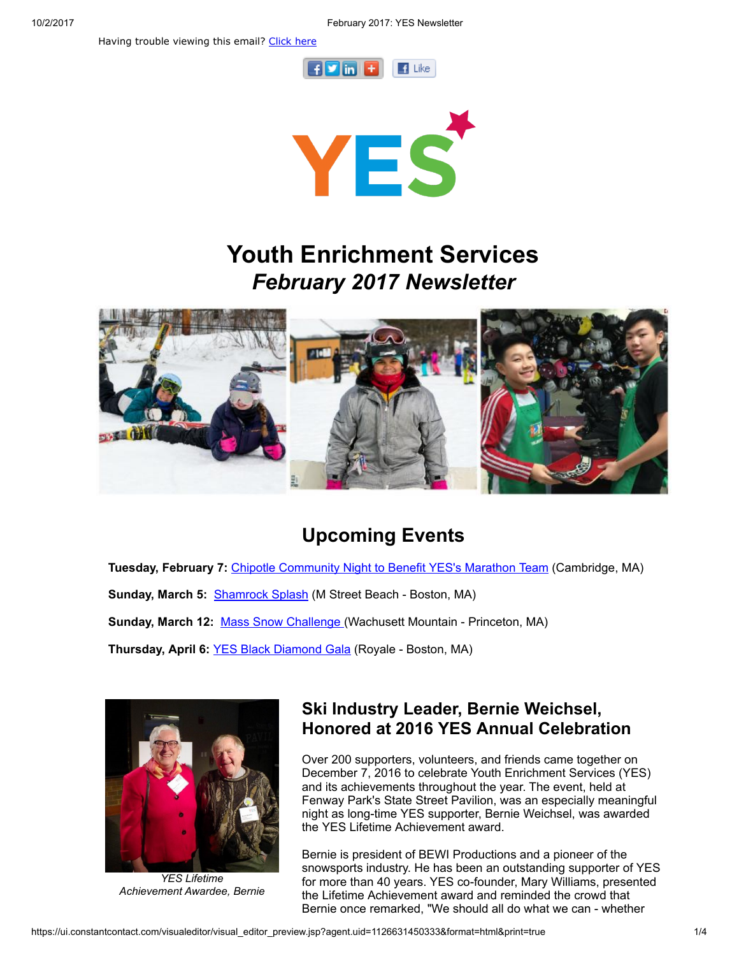Having trouble viewing this email? [Click](http://campaign.r20.constantcontact.com/render?ca=9ae10c74-1bc2-48bc-a6df-3471b50e2fda&preview=true&m=1101413331897&id=preview) here





# Youth Enrichment Services February 2017 Newsletter



## Upcoming Events

Tuesday, February 7: Chipotle [Community](http://www.yeskids.org/event/chipotle-community-night-to-benefit-yes/) Night to Benefit YES's Marathon Team (Cambridge, MA)

Sunday, March 5: [Shamrock](http://www.yeskids.org/splash) Splash (M Street Beach - Boston, MA)

Sunday, March 12: Mass Snow [Challenge](https://www.crowdrise.com/MassSnowChallenge2017) (Wachusett Mountain - Princeton, MA)

Thursday, April 6: YES Black [Diamond](http://www.yeskids.org/gala) Gala (Royale - Boston, MA)



YES Lifetime Achievement Awardee, Bernie

### Ski Industry Leader, Bernie Weichsel, Honored at 2016 YES Annual Celebration

Over 200 supporters, volunteers, and friends came together on December 7, 2016 to celebrate Youth Enrichment Services (YES) and its achievements throughout the year. The event, held at Fenway Park's State Street Pavilion, was an especially meaningful night as long-time YES supporter, Bernie Weichsel, was awarded the YES Lifetime Achievement award.

Bernie is president of BEWI Productions and a pioneer of the snowsports industry. He has been an outstanding supporter of YES for more than 40 years. YES co-founder, Mary Williams, presented the Lifetime Achievement award and reminded the crowd that Bernie once remarked, "We should all do what we can - whether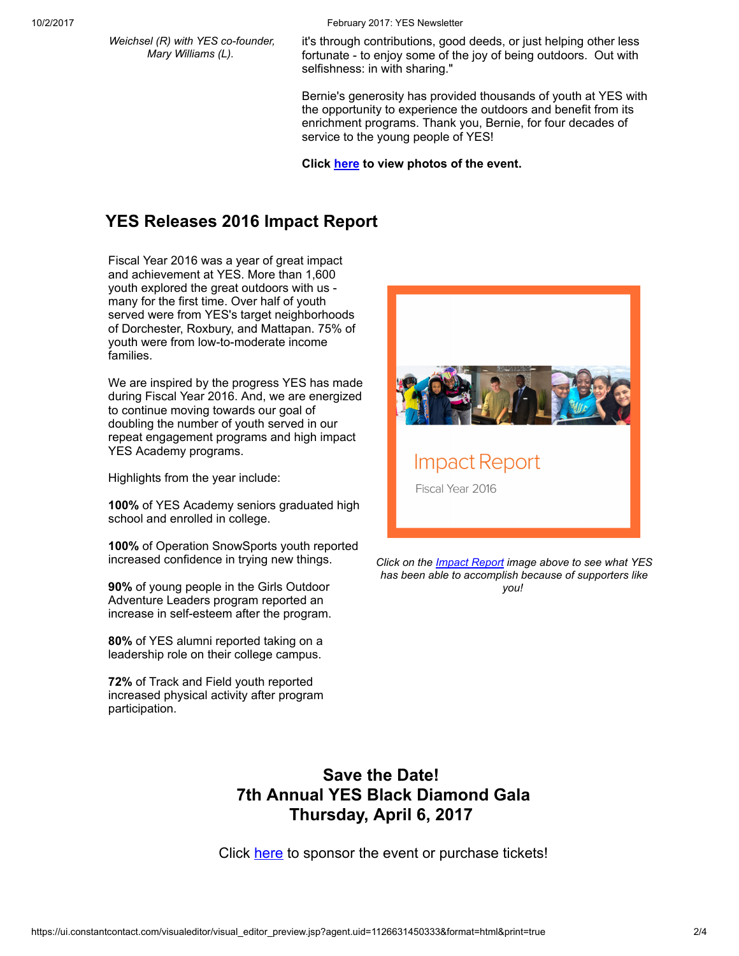Weichsel (R) with YES co-founder, Mary Williams (L).

10/2/2017 February 2017: YES Newsletter

it's through contributions, good deeds, or just helping other less fortunate - to enjoy some of the joy of being outdoors. Out with selfishness: in with sharing."

Bernie's generosity has provided thousands of youth at YES with the opportunity to experience the outdoors and benefit from its enrichment programs. Thank you, Bernie, for four decades of service to the young people of YES!

Click [here](https://www.facebook.com/41833271223/photos/?tab=album&album_id=10154650263821224) to view photos of the event.

### YES Releases 2016 Impact Report

Fiscal Year 2016 was a year of great impact and achievement at YES. More than 1,600 youth explored the great outdoors with us many for the first time. Over half of youth served were from YES's target neighborhoods of Dorchester, Roxbury, and Mattapan. 75% of youth were from low-to-moderate income families.

We are inspired by the progress YES has made during Fiscal Year 2016. And, we are energized to continue moving towards our goal of doubling the number of youth served in our repeat engagement programs and high impact YES Academy programs.

Highlights from the year include:

100% of YES Academy seniors graduated high school and enrolled in college.

100% of Operation SnowSports youth reported increased confidence in trying new things.

90% of young people in the Girls Outdoor Adventure Leaders program reported an increase in self-esteem after the program.

80% of YES alumni reported taking on a leadership role on their college campus.

72% of Track and Field youth reported increased physical activity after program participation.



Click on the *Impact Report* image above to see what YES has been able to accomplish because of supporters like you!

#### Save the Date! 7th Annual YES Black Diamond Gala Thursday, April 6, 2017

Click [here](http://www.yeskids.org/gala) to sponsor the event or purchase tickets!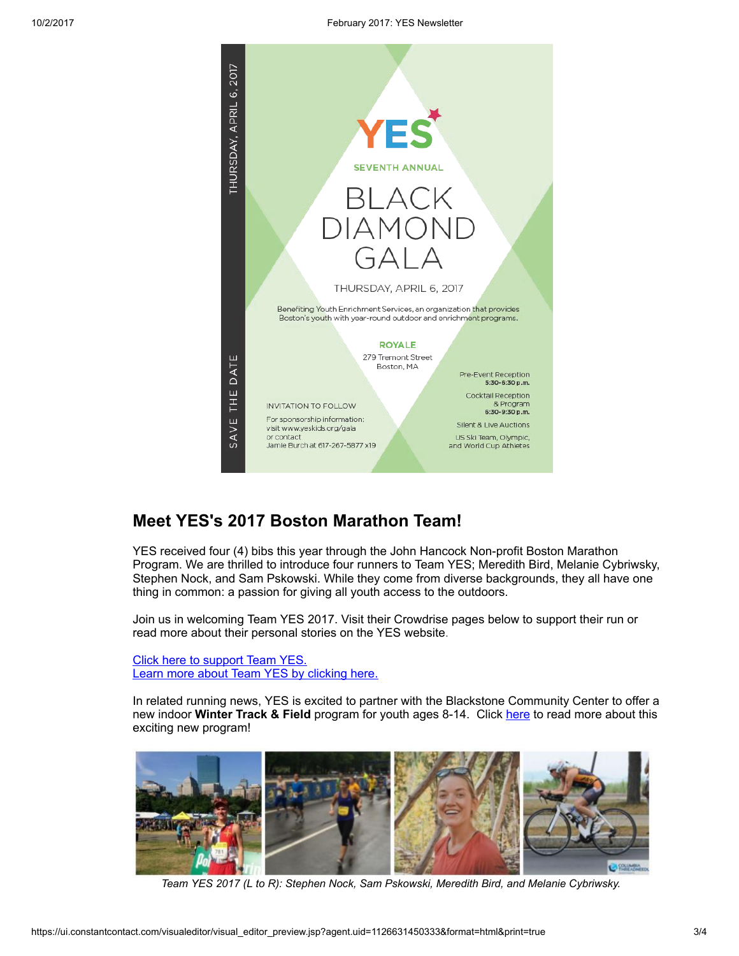

#### Meet YES's 2017 Boston Marathon Team!

YES received four (4) bibs this year through the John Hancock Non-profit Boston Marathon Program. We are thrilled to introduce four runners to Team YES; Meredith Bird, Melanie Cybriwsky, Stephen Nock, and Sam Pskowski. While they come from diverse backgrounds, they all have one thing in common: a passion for giving all youth access to the outdoors.

Join us in welcoming Team YES 2017. Visit their Crowdrise pages below to support their run or read more about their personal stories on the YES website.

Click here to [support](https://www.crowdrise.com/YESKidsBoston2017/fundraiser/YESKidsBoston) Team YES. Learn more about Team YES by [clicking](http://www.yeskids.org/marathon/) here.

In related running news, YES is excited to partner with the Blackstone Community Center to offer a new indoor Winter Track & Field program for youth ages 8-14. Click [here](http://www.yeskids.org/track/) to read more about this exciting new program!



Team YES 2017 (L to R): Stephen Nock, Sam Pskowski, Meredith Bird, and Melanie Cybriwsky.